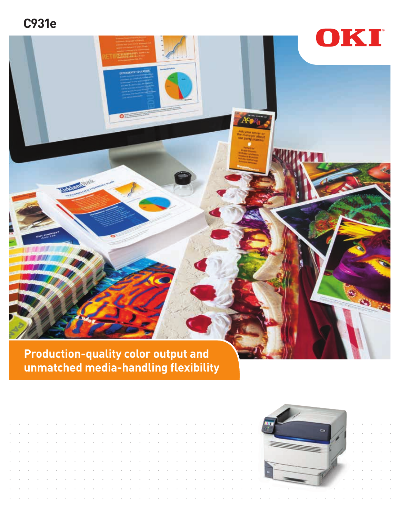**C931e**



**unmatched media-handling flexibility**

| the contract of the contract of the contract of the contract of the contract of the contract of the contract of       |  |  |  |  |  |  |  |  |  |  |  |  |  |  |  |  |
|-----------------------------------------------------------------------------------------------------------------------|--|--|--|--|--|--|--|--|--|--|--|--|--|--|--|--|
| . A series a construction of a construction of a construction of a construction of a construction of the construction |  |  |  |  |  |  |  |  |  |  |  |  |  |  |  |  |
| . A share the second contract and a second contract of the second contract of the second contract of the second       |  |  |  |  |  |  |  |  |  |  |  |  |  |  |  |  |
| . A share that the same company of the same company of the same company of the same company of the same company       |  |  |  |  |  |  |  |  |  |  |  |  |  |  |  |  |
| . A construction of the construction of the construction of the construction of the construction of the construction  |  |  |  |  |  |  |  |  |  |  |  |  |  |  |  |  |
| . A share that the same state of the same state of the same state of the same state of the same of the same of        |  |  |  |  |  |  |  |  |  |  |  |  |  |  |  |  |
|                                                                                                                       |  |  |  |  |  |  |  |  |  |  |  |  |  |  |  |  |
| . A contract a construction of the contract of the contract of the contract of the contract of the contract of        |  |  |  |  |  |  |  |  |  |  |  |  |  |  |  |  |
|                                                                                                                       |  |  |  |  |  |  |  |  |  |  |  |  |  |  |  |  |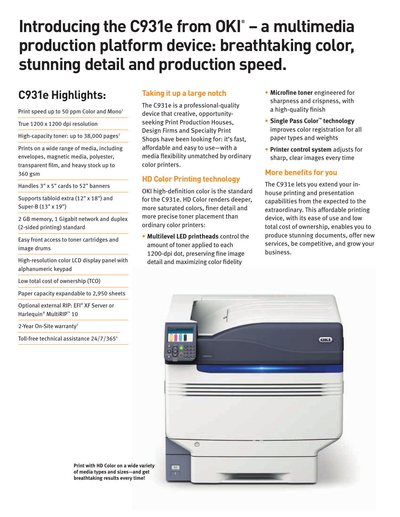# **Introducing the C931e from OKI® – a multimedia production platform device: breathtaking color, stunning detail and production speed.**

# **C931e Highlights:**

Print speed up to 50 ppm Color and Mono<sup>1</sup>

True 1200 x 1200 dpi resolution

High-capacity toner: up to 38,000 pages $^2$ 

Prints on a wide range of media, including envelopes, magnetic media, polyester, transparent film, and heavy stock up to 360 gsm

Handles 3" x 5" cards to 52" banners

Supports tabloid extra (12" x 18") and Super-B (13" x 19")

2 GB memory, 1 Gigabit network and duplex (2-sided printing) standard

Easy front access to toner cartridges and image drums

High-resolution color LCD display panel with alphanumeric keypad

Low total cost of ownership (TCO)

Paper capacity expandable to 2,950 sheets

Optional external RIP: EFI® XF Server or Harlequin® MultiRIP™ 10

2-Year On-Site warranty<sup>3</sup>

Toll-free technical assistance  $24/7/365^4$ 

### **Taking it up a large notch**

The C931e is a professional-quality device that creative, opportunityseeking Print Production Houses, Design Firms and Specialty Print Shops have been looking for: it's fast, affordable and easy to use—with a media flexibility unmatched by ordinary color printers.

#### **HD Color Printing technology**

OKI high-definition color is the standard for the C931e. HD Color renders deeper, more saturated colors, finer detail and more precise toner placement than ordinary color printers:

• **Multilevel LED printheads** control the amount of toner applied to each 1200-dpi dot, preserving fine image detail and maximizing color fidelity

- **Microfine toner** engineered for sharpness and crispness, with a high-quality finish
- **Single Pass Color™ technology** improves color registration for all paper types and weights
- **Printer control system** adjusts for sharp, clear images every time

#### **More benefits for you**

The C931e lets you extend your inhouse printing and presentation capabilities from the expected to the extraordinary. This affordable printing device, with its ease of use and low total cost of ownership, enables you to produce stunning documents, offer new services, be competitive, and grow your business.



**Print with HD Color on a wide variety of media types and sizes—and get breathtaking results every time!**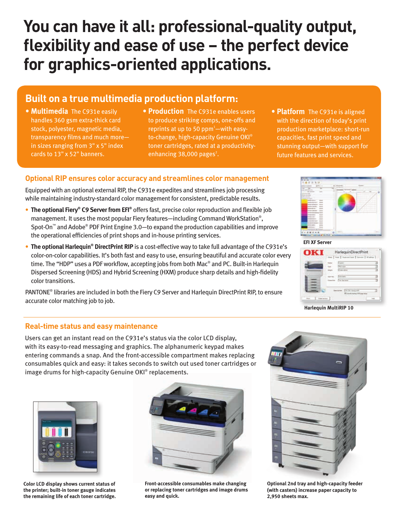# **You can have it all: professional-quality output, flexibility and ease of use – the perfect device for graphics-oriented applications.**

### **Built on a true multimedia production platform:**

- **Multimedia** The C931e easily handles 360 gsm extra-thick card stock, polyester, magnetic media, transparency films and much more in sizes ranging from 3" x 5" index cards to 13" x 52" banners.
- **Production** The C931e enables users to produce striking comps, one-offs and reprints at up to 50  $ppm^1$ —with easyto-change, high-capacity Genuine OKI® toner cartridges, rated at a productivityenhancing  $38,000$  pages<sup>2</sup>.
- **Platform** The C931e is aligned with the direction of today's print production marketplace: short-run capacities, fast print speed and stunning output—with support for future features and services.

#### **Optional RIP ensures color accuracy and streamlines color management**

Equipped with an optional external RIP, the C931e expedites and streamlines job processing while maintaining industry-standard color management for consistent, predictable results.

- **The optional Fiery® C9 Server from EFI®** offers fast, precise color reproduction and flexible job management. It uses the most popular Fiery features—including Command WorkStation® , Spot-On™ and Adobe® PDF Print Engine 3.0—to expand the production capabilities and improve the operational efficiencies of print shops and in-house printing services.
- **The optional Harlequin<sup>®</sup> DirectPrint RIP** is a cost-effective way to take full advantage of the C931e's color-on-color capabilities. It's both fast and easy to use, ensuring beautiful and accurate color every time. The "HDP" uses a PDF workflow, accepting jobs from both Mac® and PC. Built-in Harlequin Dispersed Screening (HDS) and Hybrid Screening (HXM) produce sharp details and high-fidelity color transitions.

PANTONE® libraries are included in both the Fiery C9 Server and Harlequin DirectPrint RIP, to ensure accurate color matching job to job.

**EFI XF Server**



**Harlequin MultiRIP 10**

#### **Real-time status and easy maintenance**

Users can get an instant read on the C931e's status via the color LCD display, with its easy-to-read messaging and graphics. The alphanumeric keypad makes entering commands a snap. And the front-accessible compartment makes replacing consumables quick and easy: it takes seconds to switch out used toner cartridges or image drums for high-capacity Genuine OKI® replacements.



**Color LCD display shows current status of the printer; built-in toner gauge indicates the remaining life of each toner cartridge.**



**Front-accessible consumables make changing or replacing toner cartridges and image drums easy and quick.**



**Optional 2nd tray and high-capacity feeder (with casters) increase paper capacity to 2,950 sheets max.**